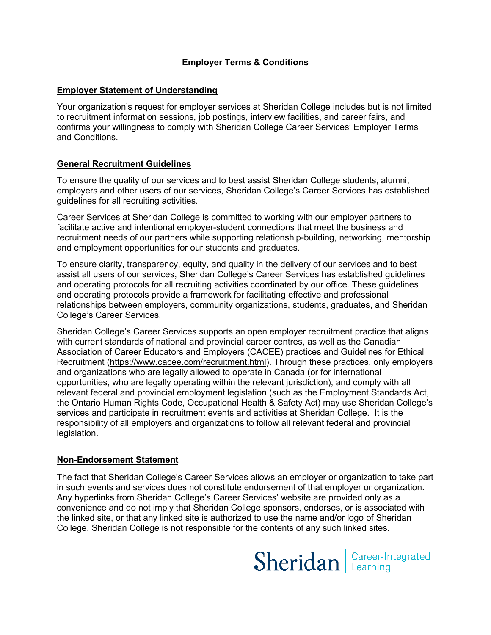## **Employer Terms & Conditions**

## **Employer Statement of Understanding**

 Your organization's request for employer services at Sheridan College includes but is not limited to recruitment information sessions, job postings, interview facilities, and career fairs, and confirms your willingness to comply with Sheridan College Career Services' Employer Terms and Conditions.

# **General Recruitment Guidelines**

 To ensure the quality of our services and to best assist Sheridan College students, alumni, employers and other users of our services, Sheridan College's Career Services has established guidelines for all recruiting activities.

 facilitate active and intentional employer-student connections that meet the business and Career Services at Sheridan College is committed to working with our employer partners to recruitment needs of our partners while supporting relationship-building, networking, mentorship and employment opportunities for our students and graduates.

 assist all users of our services, Sheridan College's Career Services has established guidelines To ensure clarity, transparency, equity, and quality in the delivery of our services and to best and operating protocols for all recruiting activities coordinated by our office. These guidelines and operating protocols provide a framework for facilitating effective and professional relationships between employers, community organizations, students, graduates, and Sheridan College's Career Services.

 Sheridan College's Career Services supports an open employer recruitment practice that aligns relevant federal and provincial employment legislation (such as the Employment Standards Act, with current standards of national and provincial career centres, as well as the Canadian Association of Career Educators and Employers (CACEE) practices and Guidelines for Ethical Recruitment [\(https://www.cacee.com/recruitment.html](https://www.cacee.com/recruitment.html)). Through these practices, only employers and organizations who are legally allowed to operate in Canada (or for international opportunities, who are legally operating within the relevant jurisdiction), and comply with all the Ontario Human Rights Code, Occupational Health & Safety Act) may use Sheridan College's services and participate in recruitment events and activities at Sheridan College. It is the responsibility of all employers and organizations to follow all relevant federal and provincial legislation.

## **Non-Endorsement Statement**

 The fact that Sheridan College's Career Services allows an employer or organization to take part in such events and services does not constitute endorsement of that employer or organization. Any hyperlinks from Sheridan College's Career Services' website are provided only as a convenience and do not imply that Sheridan College sponsors, endorses, or is associated with the linked site, or that any linked site is authorized to use the name and/or logo of Sheridan College. Sheridan College is not responsible for the contents of any such linked sites.

Sheridan | Career-Integrated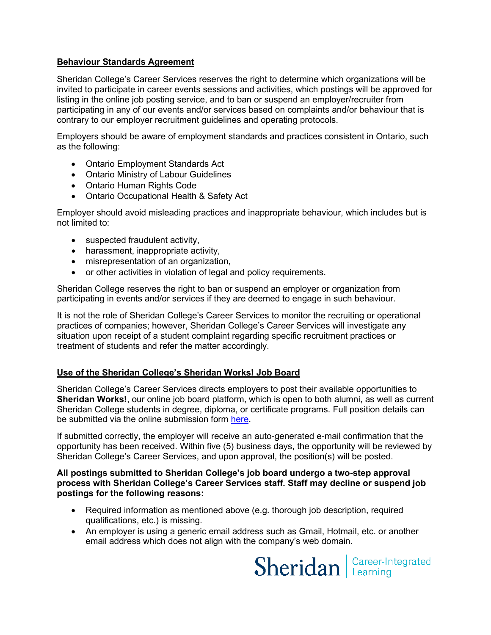## **Behaviour Standards Agreement**

 participating in any of our events and/or services based on complaints and/or behaviour that is contrary to our employer recruitment guidelines and operating protocols. Sheridan College's Career Services reserves the right to determine which organizations will be invited to participate in career events sessions and activities, which postings will be approved for listing in the online job posting service, and to ban or suspend an employer/recruiter from

 Employers should be aware of employment standards and practices consistent in Ontario, such as the following:

- Ontario Employment Standards Act
- Ontario Ministry of Labour Guidelines
- Ontario Human Rights Code
- Ontario Occupational Health & Safety Act

Employer should avoid misleading practices and inappropriate behaviour, which includes but is not limited to:

- suspected fraudulent activity,
- harassment, inappropriate activity,
- misrepresentation of an organization,
- or other activities in violation of legal and policy requirements.

 Sheridan College reserves the right to ban or suspend an employer or organization from participating in events and/or services if they are deemed to engage in such behaviour.

 It is not the role of Sheridan College's Career Services to monitor the recruiting or operational practices of companies; however, Sheridan College's Career Services will investigate any situation upon receipt of a student complaint regarding specific recruitment practices or treatment of students and refer the matter accordingly.

# **Use of the Sheridan College's Sheridan Works! Job Board**

 **Sheridan Works!**, our online job board platform, which is open to both alumni, as well as current Sheridan College's Career Services directs employers to post their available opportunities to Sheridan College students in degree, diploma, or certificate programs. Full position details can be submitted via the online submission form [here.](https://sheridanworks.sheridancollege.ca/home.htm)

 If submitted correctly, the employer will receive an auto-generated e-mail confirmation that the opportunity has been received. Within five (5) business days, the opportunity will be reviewed by Sheridan College's Career Services, and upon approval, the position(s) will be posted.

#### **process with Sheridan College's Career Services staff. Staff may decline or suspend job All postings submitted to Sheridan College's job board undergo a two-step approval postings for the following reasons:**

- Required information as mentioned above (e.g. thorough job description, required qualifications, etc.) is missing.
- email address which does not align with the company's web domain. • An employer is using a generic email address such as Gmail, Hotmail, etc. or another

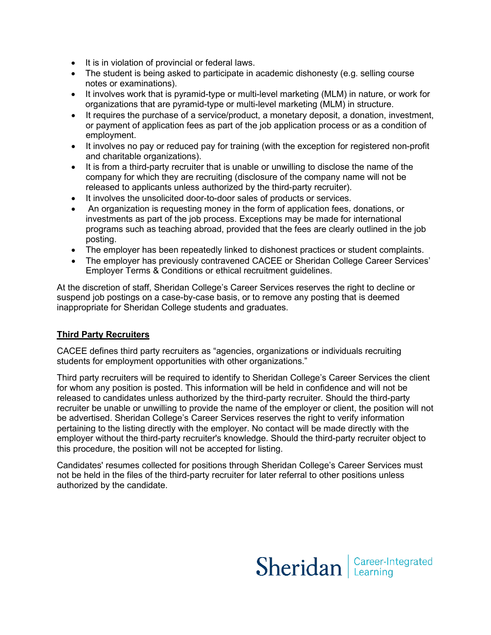- It is in violation of provincial or federal laws.
- The student is being asked to participate in academic dishonesty (e.g. selling course notes or examinations).
- It involves work that is pyramid-type or multi-level marketing (MLM) in nature, or work for organizations that are pyramid-type or multi-level marketing (MLM) in structure.
- It requires the purchase of a service/product, a monetary deposit, a donation, investment, or payment of application fees as part of the job application process or as a condition of employment.
- • It involves no pay or reduced pay for training (with the exception for registered non-profit and charitable organizations).
- company for which they are recruiting (disclosure of the company name will not be • It is from a third-party recruiter that is unable or unwilling to disclose the name of the released to applicants unless authorized by the third-party recruiter).
- It involves the unsolicited door-to-door sales of products or services.
- An organization is requesting money in the form of application fees, donations, or investments as part of the job process. Exceptions may be made for international programs such as teaching abroad, provided that the fees are clearly outlined in the job posting.
- The employer has been repeatedly linked to dishonest practices or student complaints.
- The employer has previously contravened CACEE or Sheridan College Career Services' Employer Terms & Conditions or ethical recruitment guidelines.

 At the discretion of staff, Sheridan College's Career Services reserves the right to decline or suspend job postings on a case-by-case basis, or to remove any posting that is deemed inappropriate for Sheridan College students and graduates.

# **Third Party Recruiters**

CACEE defines third party recruiters as "agencies, organizations or individuals recruiting students for employment opportunities with other organizations."

 for whom any position is posted. This information will be held in confidence and will not be employer without the third-party recruiter's knowledge. Should the third-party recruiter object to Third party recruiters will be required to identify to Sheridan College's Career Services the client released to candidates unless authorized by the third-party recruiter. Should the third-party recruiter be unable or unwilling to provide the name of the employer or client, the position will not be advertised. Sheridan College's Career Services reserves the right to verify information pertaining to the listing directly with the employer. No contact will be made directly with the this procedure, the position will not be accepted for listing.

 not be held in the files of the third-party recruiter for later referral to other positions unless Candidates' resumes collected for positions through Sheridan College's Career Services must authorized by the candidate.

# Sheridan | Career-Integrated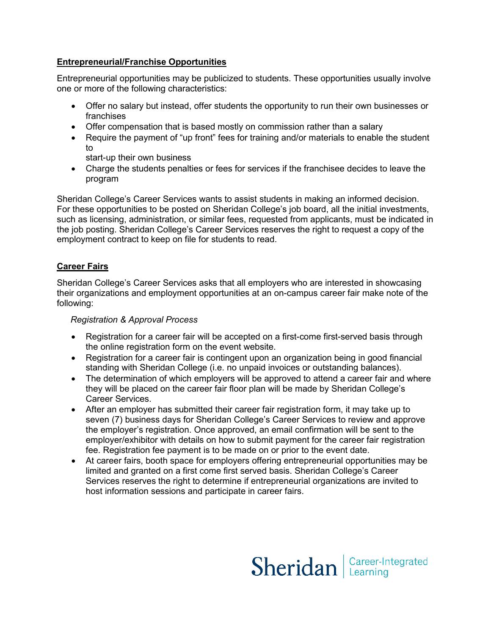# **Entrepreneurial/Franchise Opportunities**

Entrepreneurial opportunities may be publicized to students. These opportunities usually involve one or more of the following characteristics:

- Offer no salary but instead, offer students the opportunity to run their own businesses or franchises
- Offer compensation that is based mostly on commission rather than a salary
- • Require the payment of "up front" fees for training and/or materials to enable the student to
	- start-up their own business
- • Charge the students penalties or fees for services if the franchisee decides to leave the program

 such as licensing, administration, or similar fees, requested from applicants, must be indicated in employment contract to keep on file for students to read. Sheridan College's Career Services wants to assist students in making an informed decision. For these opportunities to be posted on Sheridan College's job board, all the initial investments, the job posting. Sheridan College's Career Services reserves the right to request a copy of the

# **Career Fairs**

 Sheridan College's Career Services asks that all employers who are interested in showcasing their organizations and employment opportunities at an on-campus career fair make note of the following:

## *Registration & Approval Process*

- Registration for a career fair will be accepted on a first-come first-served basis through the online registration form on the event website.
- Registration for a career fair is contingent upon an organization being in good financial standing with Sheridan College (i.e. no unpaid invoices or outstanding balances).
- they will be placed on the career fair floor plan will be made by Sheridan College's • The determination of which employers will be approved to attend a career fair and where Career Services.
- • After an employer has submitted their career fair registration form, it may take up to seven (7) business days for Sheridan College's Career Services to review and approve employer/exhibitor with details on how to submit payment for the career fair registration the employer's registration. Once approved, an email confirmation will be sent to the fee. Registration fee payment is to be made on or prior to the event date.
- Services reserves the right to determine if entrepreneurial organizations are invited to host information sessions and participate in career fairs. • At career fairs, booth space for employers offering entrepreneurial opportunities may be limited and granted on a first come first served basis. Sheridan College's Career

Sheridan | Career-Integrated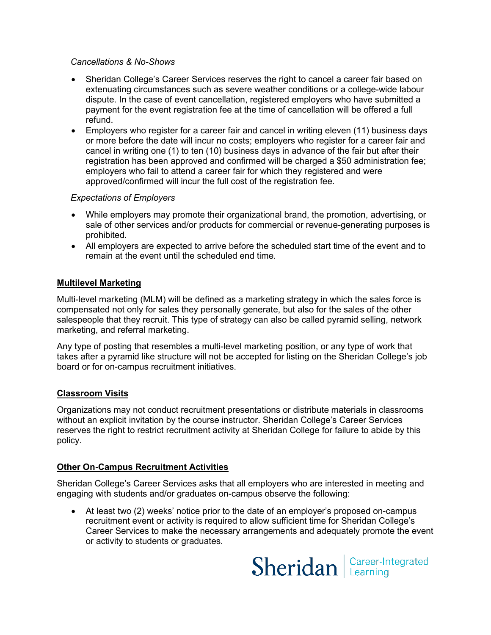## *Cancellations & No-Shows*

- • Sheridan College's Career Services reserves the right to cancel a career fair based on refund. extenuating circumstances such as severe weather conditions or a college-wide labour dispute. In the case of event cancellation, registered employers who have submitted a payment for the event registration fee at the time of cancellation will be offered a full
- cancel in writing one (1) to ten (10) business days in advance of the fair but after their • Employers who register for a career fair and cancel in writing eleven (11) business days or more before the date will incur no costs; employers who register for a career fair and registration has been approved and confirmed will be charged a \$50 administration fee; employers who fail to attend a career fair for which they registered and were approved/confirmed will incur the full cost of the registration fee.

#### *Expectations of Employers*

- While employers may promote their organizational brand, the promotion, advertising, or sale of other services and/or products for commercial or revenue-generating purposes is prohibited.
- • All employers are expected to arrive before the scheduled start time of the event and to remain at the event until the scheduled end time.

#### **Multilevel Marketing**

 Multi-level marketing (MLM) will be defined as a marketing strategy in which the sales force is salespeople that they recruit. This type of strategy can also be called pyramid selling, network compensated not only for sales they personally generate, but also for the sales of the other marketing, and referral marketing.

 Any type of posting that resembles a multi-level marketing position, or any type of work that takes after a pyramid like structure will not be accepted for listing on the Sheridan College's job board or for on-campus recruitment initiatives.

## **Classroom Visits**

 Organizations may not conduct recruitment presentations or distribute materials in classrooms reserves the right to restrict recruitment activity at Sheridan College for failure to abide by this without an explicit invitation by the course instructor. Sheridan College's Career Services policy.

## **Other On-Campus Recruitment Activities**

 Sheridan College's Career Services asks that all employers who are interested in meeting and engaging with students and/or graduates on-campus observe the following:

• At least two (2) weeks' notice prior to the date of an employer's proposed on-campus recruitment event or activity is required to allow sufficient time for Sheridan College's Career Services to make the necessary arrangements and adequately promote the event or activity to students or graduates.